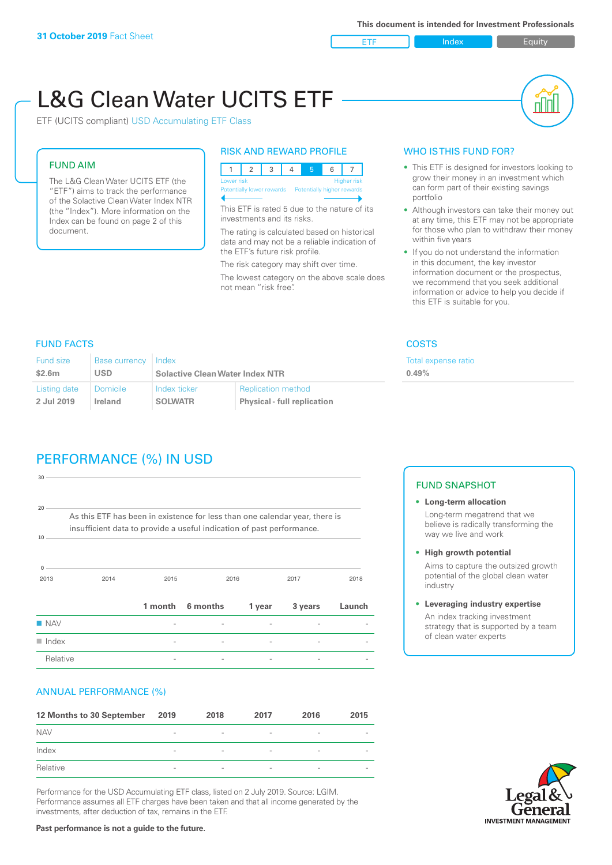ETF Index Builty

# L&G Clean Water UCITS ETF

ETF (UCITS compliant) USD Accumulating ETF Class

#### FUND AIM

The L&G Clean Water UCITS ETF (the "ETF") aims to track the performance of the Solactive Clean Water Index NTR (the "Index"). More information on the Index can be found on page 2 of this document.

#### RISK AND REWARD PROFILE

|  | Lower risk |  |  |  | <b>Higher risk</b>                                   |
|--|------------|--|--|--|------------------------------------------------------|
|  |            |  |  |  | Potentially lower rewards Potentially higher rewards |
|  |            |  |  |  |                                                      |

This ETF is rated 5 due to the nature of its investments and its risks.

The rating is calculated based on historical data and may not be a reliable indication of the ETF's future risk profile.

The risk category may shift over time. The lowest category on the above scale does not mean "risk free".

#### WHO IS THIS FUND FOR?

- This ETF is designed for investors looking to grow their money in an investment which can form part of their existing savings portfolio
- Although investors can take their money out at any time, this ETF may not be appropriate for those who plan to withdraw their money within five years
- If you do not understand the information in this document, the key investor information document or the prospectus, we recommend that you seek additional information or advice to help you decide if this ETF is suitable for you.

xpense ratio

#### FUND FACTS COSTS

| <b>Fund size</b> | <b>Base currency</b> | 'Index                                               |                           | Total e: |  |
|------------------|----------------------|------------------------------------------------------|---------------------------|----------|--|
| \$2.6m           | <b>USD</b>           | <b>Solactive Clean Water Index NTR</b>               |                           | 0.49%    |  |
| Listing date     | Domicile             | Index ticker                                         | <b>Replication method</b> |          |  |
| 2 Jul 2019       | Ireland              | <b>SOLWATR</b><br><b>Physical - full replication</b> |                           |          |  |

## PERFORMANCE (%) IN USD

| insufficient data to provide a useful indication of past performance.<br>10<br>$\Omega$<br>2014<br>2013<br>2015<br>2016<br>2017<br>2018 | $20 -$<br>As this ETF has been in existence for less than one calendar year, there is |  |  |  |  |
|-----------------------------------------------------------------------------------------------------------------------------------------|---------------------------------------------------------------------------------------|--|--|--|--|
|                                                                                                                                         |                                                                                       |  |  |  |  |
|                                                                                                                                         |                                                                                       |  |  |  |  |
|                                                                                                                                         |                                                                                       |  |  |  |  |

#### ANNUAL PERFORMANCE (%)

| 12 Months to 30 September | 2019                     | 2018                     | 2017                     | 2016                     | 2015                     |
|---------------------------|--------------------------|--------------------------|--------------------------|--------------------------|--------------------------|
| <b>NAV</b>                | $\qquad \qquad$          | $\overline{\phantom{a}}$ | $\overline{\phantom{a}}$ | $\overline{\phantom{a}}$ | $\overline{\phantom{a}}$ |
| Index                     | $\qquad \qquad$          | $\overline{\phantom{a}}$ | $\overline{\phantom{a}}$ | $\overline{a}$           | $\overline{\phantom{a}}$ |
| Relative                  | $\overline{\phantom{a}}$ | $\overline{\phantom{a}}$ | $\overline{\phantom{a}}$ | $\sim$                   | $\overline{\phantom{a}}$ |

Performance for the USD Accumulating ETF class, listed on 2 July 2019. Source: LGIM. Performance assumes all ETF charges have been taken and that all income generated by the investments, after deduction of tax, remains in the ETF.

#### FUND SNAPSHOT

- **• Long-term allocation** Long-term megatrend that we believe is radically transforming the way we live and work
- **• High growth potential** Aims to capture the outsized growth potential of the global clean water
- industry **• Leveraging industry expertise**

An index tracking investment strategy that is supported by a team of clean water experts



**Past performance is not a guide to the future.**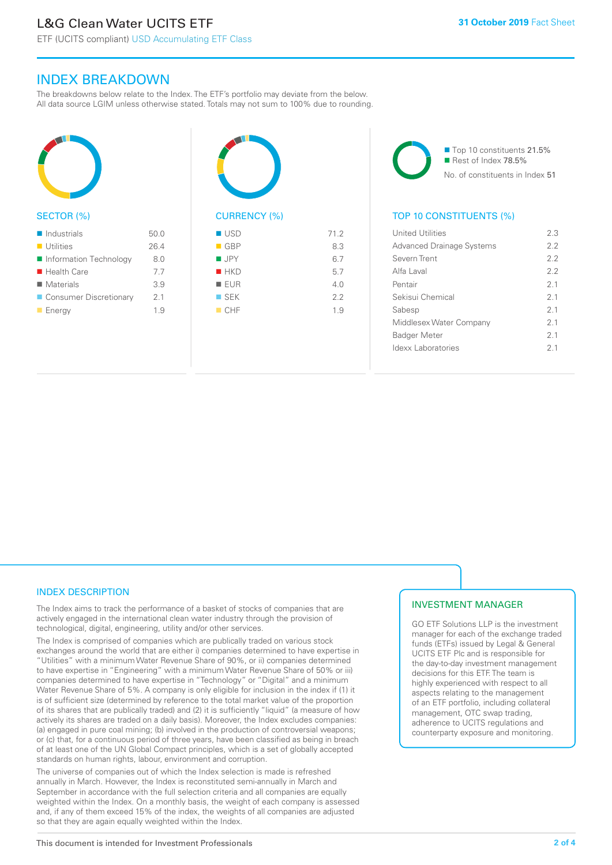ETF (UCITS compliant) USD Accumulating ETF Class

### INDEX BREAKDOWN

The breakdowns below relate to the Index. The ETF's portfolio may deviate from the below. All data source LGIM unless otherwise stated. Totals may not sum to 100% due to rounding.



#### SECTOR (%)

| $\blacksquare$ Industrials | 50.0 |
|----------------------------|------|
| $\blacksquare$ Utilities   | 26.4 |
| ■ Information Technology   | 8.0  |
| $\blacksquare$ Health Care | 7.7  |
| $\blacksquare$ Materials   | 3.9  |
| ■ Consumer Discretionary   | 2.1  |
| $\blacksquare$ Energy      | 19   |



#### $-$  GBP 8.3  $I \cup PY$  6.7  $HKD$  5.7  $I = F I I R$  4.0  $S$  SEK 2.2  $CHF$  1.9

■ Top 10 constituents 21.5% Rest of Index 78.5% No. of constituents in Index 51

#### TOP 10 CONSTITUENTS (%)

| <b>United Utilities</b>          | 23             |
|----------------------------------|----------------|
| <b>Advanced Drainage Systems</b> | 22             |
| Severn Trent                     | 2.2            |
| Alfa Laval                       | 22             |
| Pentair                          | 21             |
| Sekisui Chemical                 | 21             |
| Sabesp                           | 21             |
| Middlesex Water Company          | 2.1            |
| <b>Badger Meter</b>              | 2 <sub>1</sub> |
| Idexx Laboratories               | 2 <sub>1</sub> |
|                                  |                |

#### INDEX DESCRIPTION

The Index aims to track the performance of a basket of stocks of companies that are actively engaged in the international clean water industry through the provision of technological, digital, engineering, utility and/or other services.

The Index is comprised of companies which are publically traded on various stock exchanges around the world that are either i) companies determined to have expertise in "Utilities" with a minimum Water Revenue Share of 90%, or ii) companies determined to have expertise in "Engineering" with a minimum Water Revenue Share of 50% or iii) companies determined to have expertise in "Technology" or "Digital" and a minimum Water Revenue Share of 5%. A company is only eligible for inclusion in the index if (1) it is of sufficient size (determined by reference to the total market value of the proportion of its shares that are publically traded) and (2) it is sufficiently "liquid" (a measure of how actively its shares are traded on a daily basis). Moreover, the Index excludes companies: (a) engaged in pure coal mining; (b) involved in the production of controversial weapons; or (c) that, for a continuous period of three years, have been classified as being in breach of at least one of the UN Global Compact principles, which is a set of globally accepted standards on human rights, labour, environment and corruption.

The universe of companies out of which the Index selection is made is refreshed annually in March. However, the Index is reconstituted semi-annually in March and September in accordance with the full selection criteria and all companies are equally weighted within the Index. On a monthly basis, the weight of each company is assessed and, if any of them exceed 15% of the index, the weights of all companies are adjusted so that they are again equally weighted within the Index.

#### INVESTMENT MANAGER

GO ETF Solutions LLP is the investment manager for each of the exchange traded funds (ETFs) issued by Legal & General UCITS ETF Plc and is responsible for the day-to-day investment management decisions for this ETF. The team is highly experienced with respect to all aspects relating to the management of an ETF portfolio, including collateral management, OTC swap trading, adherence to UCITS regulations and counterparty exposure and monitoring.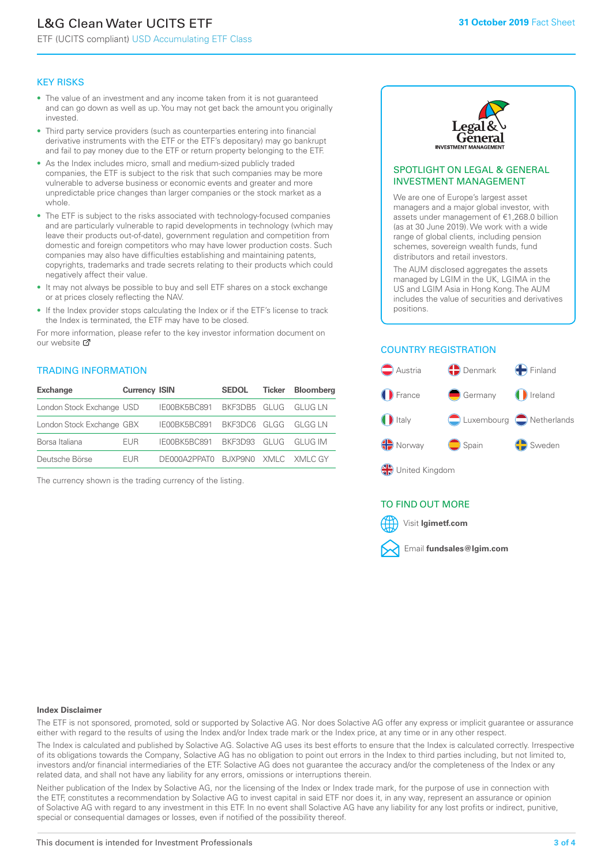# L&G Clean Water UCITS ETF

ETF (UCITS compliant) USD Accumulating ETF Class

#### KEY RISKS

- The value of an investment and any income taken from it is not guaranteed and can go down as well as up. You may not get back the amount you originally invested.
- Third party service providers (such as counterparties entering into financial derivative instruments with the ETF or the ETF's depositary) may go bankrupt and fail to pay money due to the ETF or return property belonging to the ETF.
- As the Index includes micro, small and medium-sized publicly traded companies, the ETF is subject to the risk that such companies may be more vulnerable to adverse business or economic events and greater and more unpredictable price changes than larger companies or the stock market as a whole.
- The ETF is subject to the risks associated with technology-focused companies and are particularly vulnerable to rapid developments in technology (which may leave their products out-of-date), government regulation and competition from domestic and foreign competitors who may have lower production costs. Such companies may also have difficulties establishing and maintaining patents, copyrights, trademarks and trade secrets relating to their products which could negatively affect their value.
- It may not always be possible to buy and sell ETF shares on a stock exchange or at prices closely reflecting the NAV.
- If the Index provider stops calculating the Index or if the ETF's license to track the Index is terminated, the ETF may have to be closed.

For more information, please refer to the key investor information document on our website Ø

#### TRADING INFORMATION

| <b>Exchange</b>           | <b>Currency ISIN</b> |                                  | <b>SEDOL</b>         | Ticker | <b>Bloomberg</b> |
|---------------------------|----------------------|----------------------------------|----------------------|--------|------------------|
| London Stock Exchange USD |                      | IE00BK5BC891                     | BKF3DB5 GLUG GLUGLN  |        |                  |
| London Stock Exchange GBX |                      | IE00BK5BC891                     | BKF3DC6 GLGG GLGGLN  |        |                  |
| Borsa Italiana            | <b>FUR</b>           | IE00BK5BC891                     | BKF3D93 GLUG GLUG IM |        |                  |
| Deutsche Börse            | <b>FUR</b>           | DE000A2PPATO BJXP9NO XMLC XMLCGY |                      |        |                  |

The currency shown is the trading currency of the listing.



#### SPOTLIGHT ON LEGAL & GENERAL INVESTMENT MANAGEMENT

We are one of Europe's largest asset managers and a major global investor, with assets under management of €1,268.0 billion (as at 30 June 2019). We work with a wide range of global clients, including pension schemes, sovereign wealth funds, fund distributors and retail investors.

The AUM disclosed aggregates the assets managed by LGIM in the UK, LGIMA in the US and LGIM Asia in Hong Kong. The AUM includes the value of securities and derivatives positions.

#### COUNTRY REGISTRATION



#### TO FIND OUT MORE



#### **Index Disclaimer**

The ETF is not sponsored, promoted, sold or supported by Solactive AG. Nor does Solactive AG offer any express or implicit guarantee or assurance either with regard to the results of using the Index and/or Index trade mark or the Index price, at any time or in any other respect.

The Index is calculated and published by Solactive AG. Solactive AG uses its best efforts to ensure that the Index is calculated correctly. Irrespective of its obligations towards the Company, Solactive AG has no obligation to point out errors in the Index to third parties including, but not limited to, investors and/or financial intermediaries of the ETF. Solactive AG does not guarantee the accuracy and/or the completeness of the Index or any related data, and shall not have any liability for any errors, omissions or interruptions therein.

Neither publication of the Index by Solactive AG, nor the licensing of the Index or Index trade mark, for the purpose of use in connection with the ETF, constitutes a recommendation by Solactive AG to invest capital in said ETF nor does it, in any way, represent an assurance or opinion of Solactive AG with regard to any investment in this ETF. In no event shall Solactive AG have any liability for any lost profits or indirect, punitive, special or consequential damages or losses, even if notified of the possibility thereof.